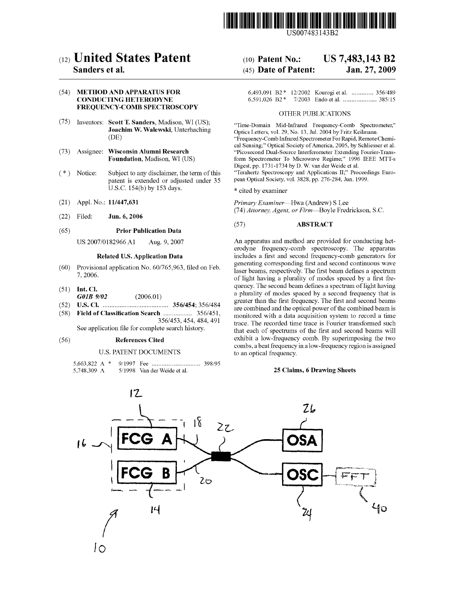

US007483143B2

# c12) **United States Patent**

# **Sanders et al.**

# (54) **METHOD AND APPARATUS FOR CONDUCTING HETERODYNE FREQUENCY-COMB SPECTROSCOPY**

- (75) Inventors: **Scott T. Sanders,** Madison, WI (US); **Joachim W. Walewski,** Unterhaching (DE)
- (73) Assignee: **Wisconsin Alumni Research Foundation,** Madison, WI (US)
- (\*) Notice: Subject to any disclaimer, the term of this patent is extended or adjusted under 35 U.S.C. 154(b) by 153 days.
- (21) Appl. No.: **11/447,631**
- (22) Filed: **Jun.6,2006**

### (65) **Prior Publication Data**

US 2007 /0182966 Al Aug. 9, 2007

# **Related U.S. Application Data**

- (60) Provisional application No. 60/765,963, filed on Feb. 7, 2006.
- (51) **Int. Cl.**  *GOJB 9102* (2006.01)
- (52) **U.S. Cl.** ....................................... **356/454;** 356/484
- (58) **Field of Classification Search** ................. 356/451,

356/453, 454, 484, 491 See application file for complete search history.

#### (56) **References Cited**

#### U.S. PATENT DOCUMENTS

| 5,748,309 A |  | 5/1998 Van der Weide et al. |  |
|-------------|--|-----------------------------|--|

# (IO) **Patent No.: US 7,483,143 B2**  (45) **Date of Patent: Jan.27,2009**

|  |  | 6,493,091 B2 * 12/2002 Kourogi et al.  356/489 |
|--|--|------------------------------------------------|
|  |  |                                                |

#### OTHER PUBLICATIONS

"Time-Domain Mid-Infrared Frequency-Comb Spectrometer," Optics Letters, vol. 29, No. 13, Jul. 2004 by Fritz Keilmann. "Frequency-Comb Infrared Spectrometer For Rapid, Remote Chemical Sensing;" Optical Society of America, 2005, by Schliesser et al. "Picosecond Dual-Source Interferometer Extending Fourier-Transform Spectrometer To Microwave Regime;" 1996 IEEE MTT-s Digest, pp. 1731-1734 by D. W. van der Weide et al.

"Terahertz Spectroscopy and Applications II;" Proceedings European Optical Society, vol. 3828, pp. 276-284, Jun. 1999.

\* cited by examiner

*Primary Examiner-Hwa* (Andrew) S Lee (74) *Attorney, Agent, or Firm-Boyle* Fredrickson, S.C.

#### (57) **ABSTRACT**

An apparatus and method are provided for conducting heterodyne frequency-comb spectroscopy. The apparatus includes a first and second frequency-comb generators for generating corresponding first and second continuous wave laser beams, respectively. The first beam defines a spectrum of light having a plurality of modes spaced by a first frequency. The second beam defines a spectrum of light having a plurality of modes spaced by a second frequency that is greater than the first frequency. The first and second beams are combined and the optical power of the combined beam is monitored with a data acquisition system to record a time trace. The recorded time trace is Fourier transformed such that each of spectrums of the first and second beams will exhibit a low-frequency comb. By superimposing the two combs, a beat frequency in a low-frequency region is assigned to an optical frequency.

### **25 Claims, 6 Drawing Sheets**

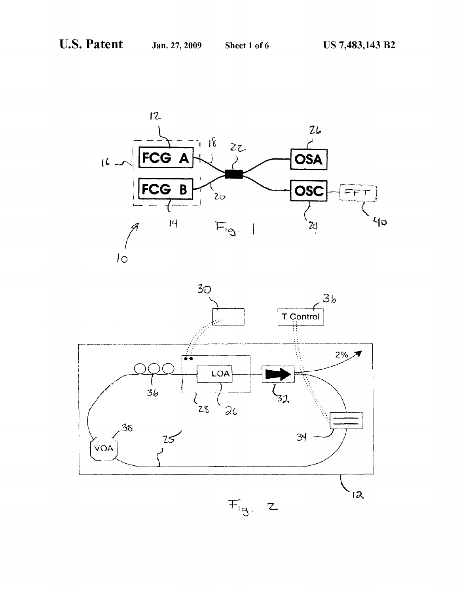

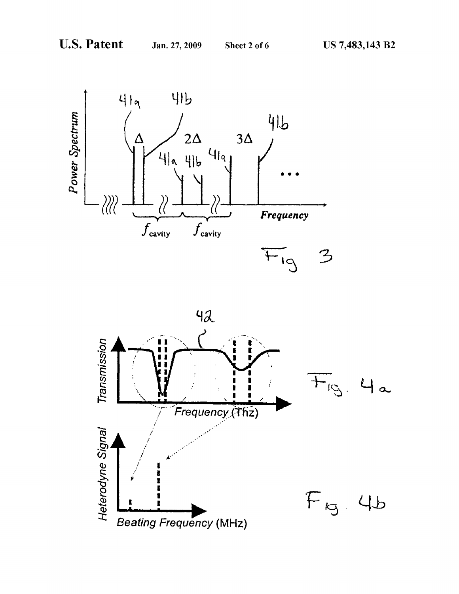

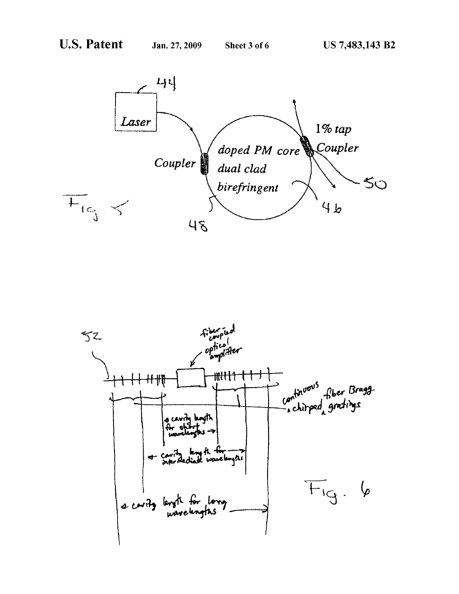

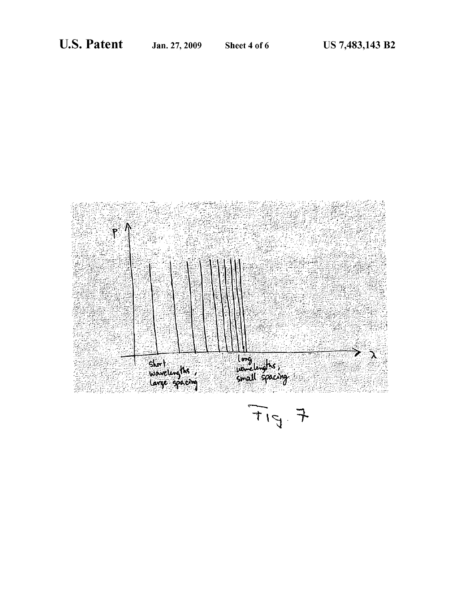

 $F_{15}$  7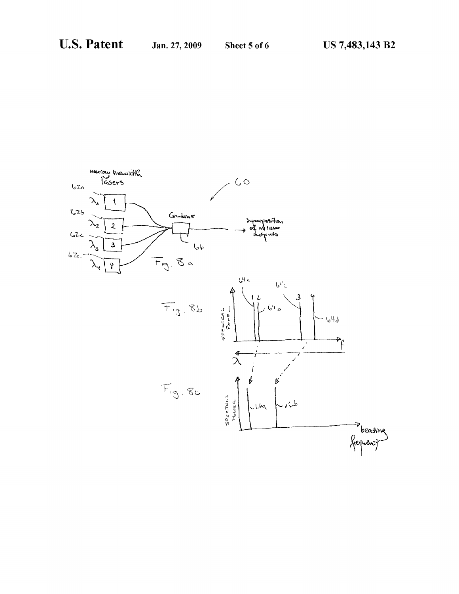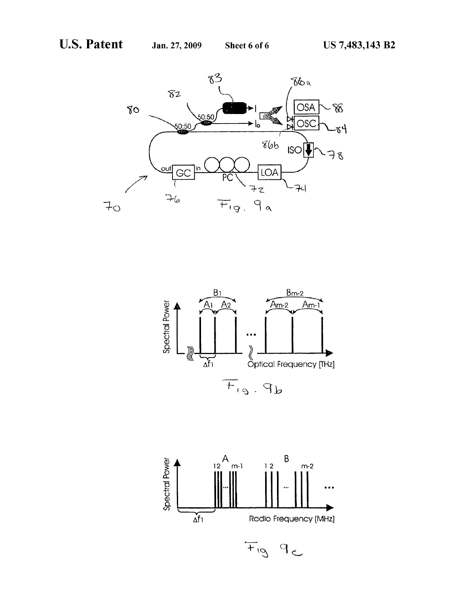



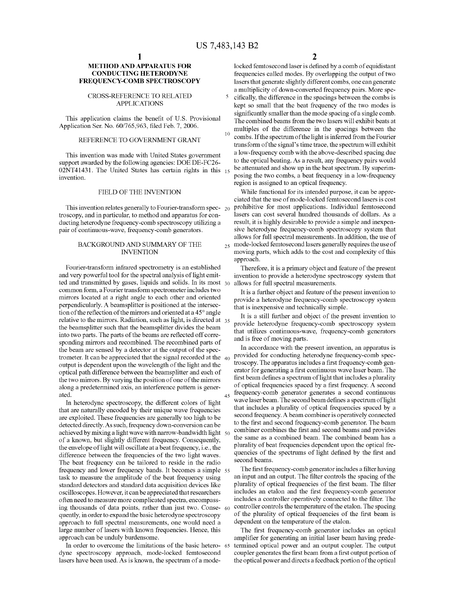# **METHOD AND APPARATUS FOR CONDUCTING HETERODYNE FREQUENCY-COMB SPECTROSCOPY**

# CROSS-REFERENCE TO RELATED APPLICATIONS

This application claims the benefit of U.S. Provisional Application Ser. No. 60/765,963, filed Feb. 7, 2006.

# REFERENCE TO GOVERNMENT GRANT

This invention was made with United States government support awarded by the following agencies: DOE DE-FC26- 02NT41431. The United States has certain rights in this 15 invention.

### FIELD OF THE INVENTION

This invention relates generally to Fourier-transform spec- 20 troscopy, and in particular, to method and apparatus for conducting heterodyne frequency-comb spectroscopy utilizing a pair of continuous-wave, frequency-comb generators.

# BACKGROUND AND SUMMARY OF THE INVENTION

Fourier-transform infrared spectrometry is an established and very powerful tool for the spectral analysis of light emitted and transmitted by gases, liquids and solids. In its most 30 common form, a Fourier transform spectrometer includes two mirrors located at a right angle to each other and oriented perpendicularly. A beamsplitter is positioned at the intersection of the reflection of the mirrors and oriented at a 45° angle relative to the mirrors. Radiation, such as light, is directed at 35 the beamsplitter such that the beamsplitter divides the beam into two parts. The parts of the beams are reflected off corresponding mirrors and recombined. The recombined parts of the beam are sensed by a detector at the output of the spectrometer. It can be appreciated that the signal recorded at the  $40$ output is dependent upon the wavelength of the light and the optical path difference between the beamsplitter and each of the two mirrors. By varying the position of one of the mirrors along a predetermined axis, an interference pattern is gener- $\frac{1}{45}$  frequency-comb generator generates a second continuous

In heterodyne spectroscopy, the different colors of light that are naturally encoded by their unique wave frequencies are exploited. These frequencies are generally too high to be detected directly. As such, frequency down-conversion can be achieved by mixing a light wave with narrow-bandwidth light  $50^{\circ}$  combiner combines the first and second beams and provides of a known, but slightly different frequency. Consequently, the envelope of light will oscillate at a beat frequency, i.e., the difference between the frequencies of the two light waves. The beat frequency can be tailored to reside in the radio frequency and lower frequency bands. It becomes a simple 55 task to measure the amplitude of the beat frequency using standard detectors and standard data acquisition devices like oscilloscopes. However, it can be appreciated that researchers often need to measure more complicated spectra, encompassing thousands of data points, rather than just two. Consequently, in order to expand the basic heterodyne spectroscopy approach to full spectral measurements, one would need a large number of lasers with known frequencies. Hence, this approach can be unduly burdensome.

In order to overcome the limitations of the basic hetero- <sup>65</sup> dyne spectroscopy approach, mode-locked femtosecond coupler generates the first beam from a first output portion of lasers have been used. As is known, the spectrum of a mode- the optical power and directs a feedback portion of the optical

**2** 

locked femtosecond laser is defined by a comb of equidistant frequencies called modes. By overlapping the output of two lasers that generate slightly different combs, one can generate a multiplicity of down-converted frequency pairs. More spe-5 cifically, the difference in the spacings between the combs is kept so small that the beat frequency of the two modes is significantly smaller than the mode spacing of a single comb. The combined beams from the two lasers will exhibit beats at multiples of the difference in the spacings between the combs. If the spectrum of the light is inferred from the Fourier transform of the signal's time trace, the spectrum will exhibit a low-frequency comb with the above-described spacing due to the optical beating. As a result, any frequency pairs would be attenuated and show up in the beat spectrum. By superimposing the two combs, a beat frequency in a low-frequency region is assigned to an optical frequency.

While functional for its intended purpose, it can be appreciated that the use of mode-locked femtosecond lasers is cost prohibitive for most applications. Individual femtosecond lasers can cost several hundred thousands of dollars. As a result, it is highly desirable to provide a simple and inexpensive heterodyne frequency-comb spectroscopy system that allows for full spectral measurements. In addition, the use of  $_{25}$  mode-locked femtosecond lasers generally requires the use of moving parts, which adds to the cost and complexity of this approach.

Therefore, it is a primary object and feature of the present invention to provide a heterodyne spectroscopy system that allows for full spectral measurements.

It is a further object and feature of the present invention to provide a heterodyne frequency-comb spectroscopy system that is inexpensive and technically simple.

It is a still further and object of the present invention to provide heterodyne frequency-comb spectroscopy system that utilizes continuous-wave, frequency-comb generators and is free of moving parts.

In accordance with the present invention, an apparatus is provided for conducting heterodyne frequency-comb spectroscopy. The apparatus includes a first frequency-comb generator for generating a first continuous wave laser beam. The first beam defines a spectrum of light that includes a plurality of optical frequencies spaced by a first frequency. A second wave laser beam. The second beam defines a spectrum of light that includes a plurality of optical frequencies spaced by a second frequency. A beam combiner is operatively connected to the first and second frequency-comb generator. The beam the same as a combined beam. The combined beam has a plurality of beat frequencies dependent upon the optical frequencies of the spectrums of light defined by the first and second beams.

The first frequency-comb generator includes a filter having an input and an output. The filter controls the spacing of the plurality of optical frequencies of the first beam. The filter includes an etalon and the first frequency-comb generator includes a controller operatively connected to the filter. The controller controls the temperature of the etalon. The spacing of the plurality of optical frequencies of the first beam is dependent on the temperature of the etalon.

The first frequency-comb generator includes an optical amplifier for generating an initial laser beam having predetermined optical power and an output coupler. The output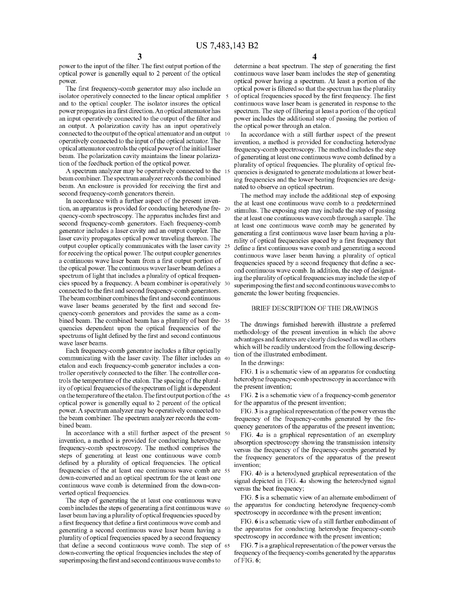power to the input of the filter. The first output portion of the optical power is generally equal to 2 percent of the optical power.

isolator operatively connected to the linear optical amplifier and to the optical coupler. The isolator insures the optical power propagates in a first direction. An optical attenuator has an input operatively connected to the output of the filter and an output. A polarization cavity has an input operatively connected to the output of the optical attenuator and an output 10 operatively connected to the input of the optical actuator. The optical attenuator controls the optical power of the initial laser beam. The polarization cavity maintains the linear polarization of the feedback portion of the optical power.

A spectrum analyzer may be operatively connected to the 15 beam combiner. The spectrum analyzer records the combined beam. An enclosure is provided for receiving the first and second frequency-comb generators therein.

In accordance with a further aspect of the present invention, an apparatus is provided for conducting heterodyne fre- 20 quency-comb spectroscopy. The apparatus includes first and second frequency-comb generators. Each frequency-comb generator includes a laser cavity and an output coupler. The laser cavity propagates optical power traveling thereon. The output coupler optically communicates with the laser cavity 25 for receiving the optical power. The output coupler generates a continuous wave laser beam from a first output portion of the optical power. The continuous waver laser beam defines a spectrum of light that includes a plurality of optical frequencies spaced by a frequency. A beam combiner is operatively 30 connected to the first and second frequency-comb generators. The beam combiner combines the first and second continuous wave laser beams generated by the first and second frequency-comb generators and provides the same as a combined beam. The combined beam has a plurality of beat fre- <sup>35</sup> quencies dependent upon the optical frequencies of the spectrums of light defined by the first and second continuous wave laser beams.

Each frequency-comb generator includes a filter optically communicating with the laser cavity. The filter includes an 40 etalon and each frequency-comb generator includes a controller operatively connected to the filter. The controller controls the temperature of the etalon. The spacing of the plurality of optical frequencies of the spectrum of light is dependent on the temperature of the etalon. The first output portion of the 45 optical power is generally equal to 2 percent of the optical power. A spectrum analyzer may be operatively connected to the beam combiner. The spectrum analyzer records the combined beam.

In accordance with a still further aspect of the present 50 invention, a method is provided for conducting heterodyne frequency-comb spectroscopy. The method comprises the steps of generating at least one continuous wave comb defined by a plurality of optical frequencies. The optical frequencies of the at least one continuous wave comb are 55 down-converted and an optical spectrum for the at least one continuous wave comb is determined from the down-converted optical frequencies.

The step of generating the at least one continuous wave comb includes the steps of generating a first continuous wave 60 laser beam having a plurality of optical frequencies spaced by a first frequency that define a first continuous wave comb and generating a second continuous wave laser beam having a plurality of optical frequencies spaced by a second frequency that define a second continuous wave comb. The step of 65 down-converting the optical frequencies includes the step of superimposing the first and second continuous wave combs to

**4** 

determine a beat spectrum. The step of generating the first continuous wave laser beam includes the step of generating optical power having a spectrum. At least a portion of the The first frequency-comb generator may also include an optical power is filtered so that the spectrum has the plurality 5 of optical frequencies spaced by the first frequency. The first continuous wave laser beam is generated in response to the spectrum. The step of filtering at least a portion of the optical power includes the additional step of passing the portion of the optical power through an etalon.

> In accordance with a still further aspect of the present invention, a method is provided for conducting heterodyne frequency-comb spectroscopy. The method includes the step of generating at least one continuous wave comb defined by a plurality of optical frequencies. The plurality of optical frequencies is designated to generate modulations at lower beating frequencies and the lower beating frequencies are designated to observe an optical spectrum.

> The method may include the additional step of exposing the at least one continuous wave comb to a predetermined stimulus. The exposing step may include the step of passing the at least one continuous wave comb through a sample. The at least one continuous wave comb may be generated by generating a first continuous wave laser beam having a plurality of optical frequencies spaced by a first frequency that define a first continuous wave comb and generating a second continuous wave laser beam having a plurality of optical frequencies spaced by a second frequency that define a second continuous wave comb. In addition, the step of designating the plurality of optical frequencies may include the step of superimposing the first and second continuous wave combs to generate the lower beating frequencies.

# BRIEF DESCRIPTION OF THE DRAWINGS

The drawings furnished herewith illustrate a preferred methodology of the present invention in which the above advantages and features are clearly disclosed as well as others which will be readily understood from the following description of the illustrated embodiment.

In the drawings:

FIG. **1** is a schematic view of an apparatus for conducting heterodyne frequency-comb spectroscopy in accordance with the present invention;

FIG. **2** is a schematic view of a frequency-comb generator for the apparatus of the present invention;

FIG. **3** is a graphical representation of the power versus the frequency of the frequency-combs generated by the frequency generators of the apparatus of the present invention;

FIG. *4a* is a graphical representation of an exemplary absorption spectroscopy showing the transmission intensity versus the frequency of the frequency-combs generated by the frequency generators of the apparatus of the present invention;

FIG. *4b* is a heterodyned graphical representation of the signal depicted in FIG. *4a* showing the heterodyned signal versus the beat frequency;

FIG. **5** is a schematic view of an alternate embodiment of the apparatus for conducting heterodyne frequency-comb spectroscopy in accordance with the present invention;

FIG. **6** is a schematic view of a still further embodiment of the apparatus for conducting heterodyne frequency-comb spectroscopy in accordance with the present invention;

FIG. **7** is a graphical representation of the power versus the frequency of the frequency-combs generated by the apparatus of FIG. **6;**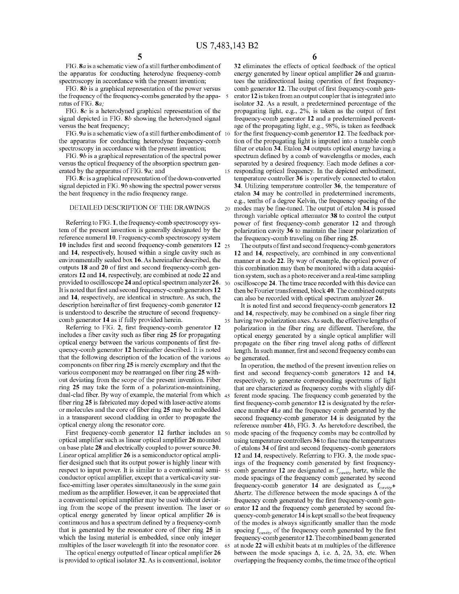FIG. *Sa* is a schematic view ofa still further embodiment of the apparatus for conducting heterodyne frequency-comb spectroscopy in accordance with the present invention;

FIG. **Sb** is a graphical representation of the power versus the frequency of the frequency-combs generated by the apparatus of FIG. *Sa;* 

FIG. **Sc** is a heterodyned graphical representation of the signal depicted in FIG. **Sb** showing the heterodyned signal versus the beat frequency;

FIG. **9***a* is a schematic view of a still further embodiment of 10 the apparatus for conducting heterodyne frequency-comb spectroscopy in accordance with the present invention;

FIG. *9b* is a graphical representation of the spectral power versus the optical frequency of the absorption spectrum generated by the apparatus of FIG. *9a;* and

FIG. **Sc** is a graphical representation of the down-converted signal depicted in FIG. *9b* showing the spectral power versus the beat frequency in the radio frequency range.

### DETAILED DESCRIPTION OF THE DRAWINGS

Referring to FIG. **1,** the frequency-comb spectroscopy system of the present invention is generally designated by the reference numeral **10.** Frequency-comb spectroscopy system **10** includes first and second frequency-comb generators **12** 25 and **14,** respectively, housed within a single cavity such as environmentally sealed box **16.** As hereinafter described, the outputs **18** and **20** of first and second frequency-comb generators **12 and 14,** respectively, are combined at node **22** and provided to oscilloscope **24** and optical spectrum analyzer **26.** 30 oscilloscope **24.** The time trace recorded with this device can It is noted that first and second frequency-comb generators **12**  and **14,** respectively, are identical in structure. As such, the description hereinafter of first frequency-comb generator **12**  is understood to describe the structure of second frequencycomb generator **14** as if fully provided herein.

Referring to FIG. **2,** first frequency-comb generator **12**  includes a fiber cavity such as fiber ring **25** for propagating optical energy between the various components of first frequency-comb generator **12** hereinafter described. It is noted that the following description of the location of the various  $_{40}$ components on fiber ring **25** is merely exemplary and that the various component may be rearranged on fiber ring **25** without deviating from the scope of the present invention. Fiber ring **25** may take the form of a polarization-maintaining, dual-clad fiber. By way of example, the material from which fiber ring **25** is fabricated may doped with laser-active atoms or molecules and the core of fiber ring **25** may be embedded in a transparent second cladding in order to propagate the optical energy along the resonator core.

First frequency-comb generator **12** further includes an optical amplifier such as linear optical amplifier **26** mounted on base plate **28** and electrically coupled to power source **30.**  Linear optical amplifier **26** is a semiconductor optical amplifier designed such that its output power is highly linear with respect to input power. It is similar to a conventional semi- 55 conductor optical amplifier, except that a vertical-cavity surface-emitting laser operates simultaneously in the same gain medium as the amplifier. However, it can be appreciated that a conventional optical amplifier may be used without deviating from the scope of the present invention. The laser or optical energy generated by linear optical amplifier **26** is continuous and has a spectrum defined by a frequency-comb that is generated by the resonator core of fiber ring **25** in which the lasing material is embedded, since only integer multiples of the laser wavelength fit into the resonator core.

The optical energy outputted of linear optical amplifier 26 is provided to optical isolator **32.** As is conventional, isolator **6** 

**32** eliminates the effects of optical feedback of the optical energy generated by linear optical amplifier **26** and guarantees the unidirectional lasing operation of first frequencycomb generator **12.** The output of first frequency-comb gen-5 erator **12** is taken from an output coupler that is integrated into isolator **32.** As a result, a predetermined percentage of the propagating light, e.g., 2%, is taken as the output of first frequency-comb generator **12** and a predetermined percentage of the propagating light, e.g., 98%, is taken as feedback for the first frequency-comb generator 12. The feedback portion of the propagating light is imputed into a tunable comb filter or etalon **34.** Etalon **34** outputs optical energy having a spectrum defined by a comb of wavelengths or modes, each separated by a desired frequency. Each mode defines a cor-15 responding optical frequency. In the depicted embodiment, temperature controller **36** is operatively connected to etalon **34.** Utilizing temperature controller **36,** the temperature of etalon **34** may be controlled in predetermined increments, e.g., tenths of a degree Kelvin, the frequency spacing of the 20 modes may be fine-tuned. The output of etalon **34** is passed through variable optical attenuator **38** to control the output power of first frequency-comb generator **12** and through polarization cavity **36** to maintain the linear polarization of the frequency-comb traveling on fiber ring **25.** 

The outputs of first and second frequency-comb generators **12 and 14,** respectively, are combined in any conventional manner at node **22.** By way of example, the optical power of this combination may then be monitored with a data acquisition system, such as a photo receiver and a real-time sampling then be Fourier transformed, block **40.** The combined outputs can also be recorded with optical spectrum analyzer **26.** 

It is noted first and second frequency-comb generators **12**  and **14,** respectively, may be combined on a single fiber ring having two polarization axes. As such, the effective lengths of polarization in the fiber ring are different. Therefore, the optical energy generated by a single optical amplifier will propagate on the fiber ring travel along paths of different length. In such manner, first and second frequency combs can be generated.

In operation, the method of the present invention relies on first and second frequency-comb generators **12 and 14,**  respectively, to generate corresponding spectrums of light that are characterized as frequency combs with slightly different mode spacing. The frequency comb generated by the first frequency-comb generator **12** is designated by the reference number **41a** and the frequency comb generated by the second frequency-comb generator **14** is designated by the reference number **41b,** FIG. **3.** As heretofore described, the mode spacing of the frequency combs may be controlled by using temperature controllers **3 6** to fine tune the temperatures of etalons **34** of first and second frequency-comb generators **12** and **14,** respectively. Referring to FIG. **3,** the mode spacings of the frequency comb generated by first frequency-55 comb generator **12** are designated as *fcavity* hertz, while the mode spacings of the frequency comb generated by second frequency-comb generator 14 are designated as  $f_{cavity}$ +  $\Delta$ hertz. The difference between the mode spacings  $\Delta$  of the frequency comb generated by the first frequency-comb generator 12 and the frequency comb generated by second frequency-comb generator **14** is kept small so the beat frequency of the modes is always significantly smaller than the mode spacing  $f_{cavity}$  of the frequency comb generated by the first frequency-comb generator **12.** The combined beam generated 65 at node **22** will exhibit beats at m multiples of the difference between the mode spacings  $\Delta$ , i.e.  $\Delta$ ,  $2\Delta$ ,  $3\Delta$ , etc. When overlapping the frequency combs, the time trace of the optical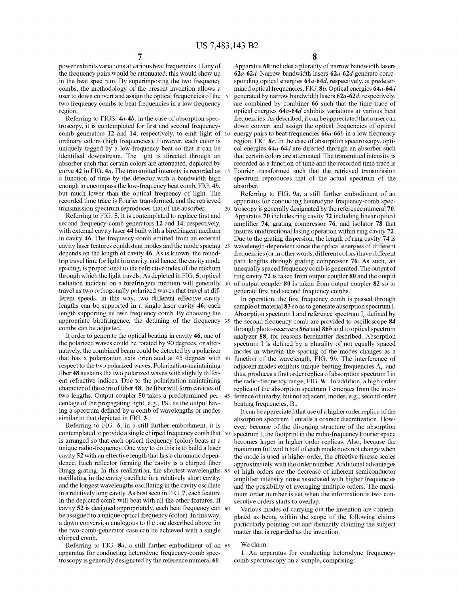power exhibits variations at various beat frequencies. If any of the frequency pairs would be attenuated, this would show up in the beat spectrum. By superimposing the two frequency combs, the methodology of the present invention allows a user to down convert and assign the optical frequencies of the 5 two frequency combs to beat frequencies in a low frequency region.

Referring to FIGS. *4a-4b,* in the case of absorption spectroscopy, it is contemplated for first and second frequencycomb generators **12** and **14,** respectively, to emit light of ordinary colors (high frequencies). However, each color is uniquely tagged by a low-frequency beat so that it can be identified downstream. The light is directed through an absorber such that certain colors are attenuated, depicted by curve **42** in FIG. *4a.* The transmitted intensity is recorded as 15 a function of time by the detector with a bandwidth high enough to encompass the low-frequency beat comb, FIG. *4b,*  but much lower than the optical frequency of light. The recorded time trace is Fourier transformed, and the retrieved transmission spectrum reproduces that of the absorber.

Referring to FIG. **5,** it is contemplated to replace first and second frequency-comb generators **12** and **14,** respectively, with external cavity laser **44** built with a birefringent medium in cavity **46.** The frequency-comb emitted from an external cavity laser features equidistant modes and the mode spacing 25 depends on the length of cavity **46.** As is known, the roundtrip travel time for light in a cavity, and hence, the cavity mode spacing, is proportional to the refractive index of the medium through which the light travels. As depicted in FIG. **5,** optical radiation incident on a birefringent medium will generally 30 travel as two orthogonally polarized waves that travel at different speeds. In this way, two different effective cavity lengths can be supported in a single laser cavity **46,** each length supporting its own frequency comb. By choosing the appropriate birefringence, the detuning of the frequency 35 combs can be adjusted.

It order to generate the optical beating in cavity **46,** one of the polarized waves could be rotated by 90 degrees, or alternatively, the combined beam could be detected by a polarizer that has a polarization axis orientated at 45 degrees with 40 respect to the two polarized waves. Polarization-maintaining fiber **48** sustains the two polarized waves with slightly different refractive indices. Due to the polarization-maintaining character of the core of fiber **48,** the fiber will form cavities of two lengths. Output coupler **50** takes a predetermined per- 45 centage of the propagating light, e.g., 1%, as the output having a spectrum defined by a comb of wavelengths or modes similar to that depicted in FIG. **3.** 

Referring to FIG. **6,** in a still further embodiment, it is contemplated to provide a single chirped frequency comb that 50 is arranged so that each optical frequency (color) beats at a unique radio-frequency. One way to do this is to build a laser cavity **52** with an effective length that has a chromatic dependence. Each reflector forming the cavity is a chirped fiber Bragg grating. In this realization, the shortest wavelengths 55 oscillating in the cavity oscillate in a relatively short cavity, and the longest wavelengths oscillating in the cavity oscillate in a relatively long cavity. As best seen in FIG. **7,** each feature in the depicted comb will beat with all the other features. If cavity **52** is designed appropriately, each beat frequency can 60 be assigned to a unique optical frequency ( color). In this way, a down conversion analogous to the one described above for the two-comb-generator case can be achieved with a single chirped comb.

Referring to FIG. **Sa,** a still further embodiment of an 65 apparatus for conducting heterodyne frequency-comb spectroscopy is generally designated by the reference numeral **60.** 

**8** 

Apparatus **60** includes a plurality of narrow bandwidth lasers *62a-62d.* Narrow bandwidth lasers *62a-62d* generate corresponding optical energies *64a-64d,* respectively, at predetermined optical frequencies, FIG. *Sb.* Optical energies *64a-64d*  5 generated by narrow bandwidth lasers *62a-62d,* respectively, are combined by combiner **66** such that the time trace of optical energies *64a-64d* exhibits variations at various beat frequencies. As described, it can be appreciated that a user can down convert and assign the optical frequencies of optical energy pairs to beat frequencies **66a-66b** in a low frequency region. FIG. *Sc.* In the case of absorption spectroscopy, optical energies *64a-64d* are directed through an absorber such that certain colors are attenuated. The transmitted intensity is recorded as a function of time and the recorded time trace is Fourier transformed such that the retrieved transmission spectrum reproduces that of the actual spectrum of the absorber.

Referring to FIG. *9a,* a still further embodiment of an apparatus for conducting heterodyne frequency-comb spec-20 troscopy is generally designated by the reference numeral **70.**  Apparatus **70** includes ring cavity **72** including linear optical amplifier **74,** grating compressor **76,** and isolator **78** that insures unidirectional lasing operation within ring cavity **72.**  Due to the grating dispersion, the length of ring cavity 74 is wavelength-dependent since the optical energies of different frequencies ( or in other words, different colors) have different path lengths through grating compressor **76.** As such, an unequally spaced frequency comb is generated. The output of ring cavity **72** is taken from output coupler **80** and the output of output coupler **80** is taken from output coupler **82** so to generate first and second frequency combs.

In operation, the first frequency comb is passed through sample of material **83** so as to generate absorption spectrum I. Absorption spectrum I and reference spectrum  $I_0$  defined by the second frequency comb are provided to oscilloscope **84**  through photo-receivers *86a* and *86b* and to optical spectrum analyzer **88,** for reasons hereinafter described. Absorption spectrum I is defined by a plurality of not equally spaced modes m wherein the spacing of the modes changes as a function of the wavelength, FIG. *9b.* The interference of adjacent modes exhibits unique beating frequencies  $A_i$ , and thus, produces a first order replica of absorption spectrum I in the radio-frequency range, FIG. *9c.* In addition, a high order replica of the absorption spectrum I emerges from the interference of nearby, but not adjacent, modes, e.g., second order beating frequencies,  $B_i$ .

It can be appreciated that use of a higher order replica of the absorption spectrum I entails a coarser discretization. However, because of the diverging structure of the absorption spectrum I, the footprint in the radio-frequency Fourier space becomes larger in higher order replicas. Also, because the maximum full width half of each mode does not change when the mode is used in higher order, the effective finesse scales approximately with the order number. Additional advantages of high orders are the decrease of inherent semiconductor amplifier intensity noise associated with higher frequencies and the possibility of averaging multiple orders. The maximum order number is set when the information is two consecutive orders starts to overlap.

Various modes of carrying out the invention are contemplated as being within the scope of the following claims particularly pointing out and distinctly claiming the subject matter that is regarded as the invention.

## We claim:

1. An apparatus for conducting heterodyne frequencycomb spectroscopy on a sample, comprising: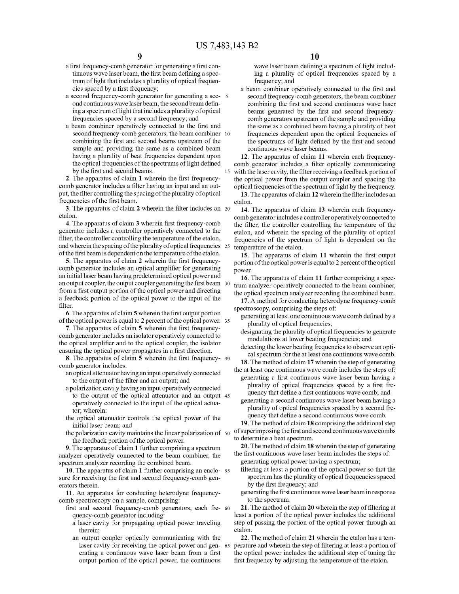- a first frequency-comb generator for generating a first continuous wave laser beam, the first beam defining a spectrum of light that includes a plurality of optical frequencies spaced by a first frequency;
- a second frequency-comb generator for generating a sec- 5 ond continuous wave laser beam, the second beam defining a spectrum of light that includes a plurality of optical frequencies spaced by a second frequency; and
- a beam combiner operatively connected to the first and second frequency-comb generators, the beam combiner 10 combining the first and second beams upstream of the sample and providing the same as a combined beam having a plurality of beat frequencies dependent upon the optical frequencies of the spectrums of light defined by the first and second beams.

**2.** The apparatus of claim **1** wherein the first frequencycomb generator includes a filter having an input and an output, the filter controlling the spacing of the plurality of optical frequencies of the first beam.

**3.** The apparatus of claim **2** wherein the filter includes an 20 etalon.

**4.** The apparatus of claim **3** wherein first frequency-comb generator includes a controller operatively connected to the filter, the controller controlling the temperature of the etalon, and wherein the spacing of the plurality of optical frequencies 25 and wherein the spacing of the plurality of optical frequencies  $25$  temperature of the etalon.<br>
25 The apparatus of the first beam is dependent on the temperature of the etalon.

**5.** The apparatus of claim **2** wherein the first frequencycomb generator includes an optical amplifier for generating an initial laser beam having predetermined optical power and an output coupler, the output coupler generating the first beam 30 from a first output portion of the optical power and directing a feedback portion of the optical power to the input of the filter.

**6.** The apparatus of claim **5** wherein the first output portion of the optical power is equal to 2 percent of the optical power. 35

**7.** The apparatus of claim **5** wherein the first frequencycomb generator includes an isolator operatively connected to the optical amplifier and to the optical coupler, the isolator ensuring the optical power propagates in a first direction.

**8.** The apparatus of claim **5** wherein the first frequency- <sup>40</sup> comb generator includes:

- an optical attenuator having an input operatively connected to the output of the filter and an output; and
- a polarization cavity having an input operatively connected to the output of the optical attenuator and an output 45 operatively connected to the input of the optical actuator; wherein:
- initial laser beam; and
- the polarization cavity maintains the linear polarization of the feedback portion of the optical power.

**9.** The apparatus of claim **1** further comprising a spectrum analyzer operatively connected to the beam combiner, the spectrum analyzer recording the combined beam.

**10.** The apparatus of claim **1** further comprising an enclo- <sup>55</sup> sure for receiving the first and second frequency-comb generators therein.

**11.** An apparatus for conducting heterodyne frequencycomb spectroscopy on a sample, comprising:

- first and second frequency-comb generators, each fre- 60 quency-comb generator including:
	- a laser cavity for propagating optical power traveling therein;
	- an output coupler optically communicating with the laser cavity for receiving the optical power and gen- 65 erating a continuous wave laser beam from a first output portion of the optical power, the continuous

wave laser beam defining a spectrum of light including a plurality of optical frequencies spaced by a frequency; and

a beam combiner operatively connected to the first and second frequency-comb generators, the beam combiner combining the first and second continuous wave laser beams generated by the first and second frequencycomb generators upstream of the sample and providing the same as a combined beam having a plurality of beat frequencies dependent upon the optical frequencies of the spectrums of light defined by the first and second continuous wave laser beams.

**12.** The apparatus of claim **11** wherein each frequencycomb generator includes a filter optically communicating 15 with the laser cavity, the filter receiving a feedback portion of the optical power from the output coupler and spacing the

optical frequencies of the spectrum of light by the frequency. **13.** The apparatus of claim **12** wherein the filter includes an etalon.

**14.** The apparatus of claim **13** wherein each frequencycomb generator includes a controller operatively connected to the filter, the controller controlling the temperature of the etalon, and wherein the spacing of the plurality of optical frequencies of the spectrum of light is dependent on the

**15.** The apparatus of claim **11** wherein the first output portion of the optical power is equal to 2 percent of the optical power.

**16.** The apparatus of claim **11** further comprising a spectrum analyzer operatively connected to the beam combiner, the optical spectrum analyzer recording the combined beam.

**17.** A method for conducting heterodyne frequency-comb spectroscopy, comprising the steps of:

- generating at least one continuous wave comb defined by a plurality of optical frequencies;
- designating the plurality of optical frequencies to generate modulations at lower beating frequencies; and
- detecting the lower beating frequencies to observe an optical spectrum for the at least one continuous wave comb.
- **18.** The method of claim **17** wherein the step of generating the at least one continuous wave comb includes the steps of: generating a first continuous wave laser beam having a plurality of optical frequencies spaced by a first frequency that define a first continuous wave comb; and
- generating a second continuous wave laser beam having a plurality of optical frequencies spaced by a second frethe optical attenuator controls the optical power of the quency that define a second continuous wave comb.

**19.** The method of claim **18** comprising the additional step of superimposing the first and second continuous wave combs to determine a beat spectrum.

**20.** The method of claim **18** wherein the step of generating the first continuous wave laser beam includes the steps of: generating optical power having a spectrum;

- filtering at least a portion of the optical power so that the spectrum has the plurality of optical frequencies spaced by the first frequency; and
- generating the first continuous wave laser beam in response to the spectrum.

**21.** The method of claim **20** wherein the step of filtering at least a portion of the optical power includes the additional step of passing the portion of the optical power through an etalon.

**22.** The method of claim **21** wherein the etalon has a temperature and wherein the step of filtering at least a portion of the optical power includes the additional step of tuning the first frequency by adjusting the temperature of the etalon.